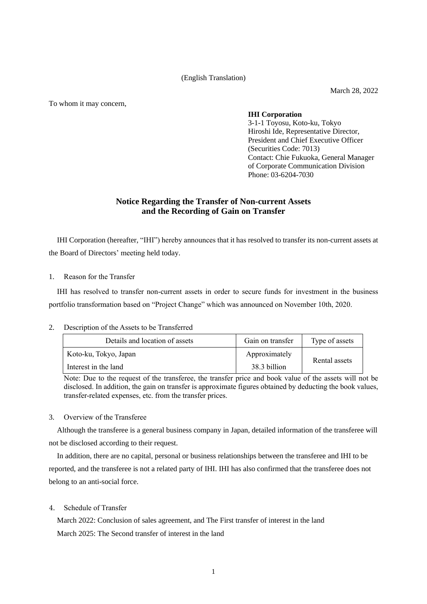(English Translation)

March 28, 2022

To whom it may concern,

## **IHI Corporation**

3-1-1 Toyosu, Koto-ku, Tokyo Hiroshi Ide, Representative Director, President and Chief Executive Officer (Securities Code: 7013) Contact: Chie Fukuoka, General Manager of Corporate Communication Division Phone: 03-6204-7030

## **Notice Regarding the Transfer of Non-current Assets and the Recording of Gain on Transfer**

IHI Corporation (hereafter, "IHI") hereby announces that it has resolved to transfer its non-current assets at the Board of Directors' meeting held today.

1. Reason for the Transfer

IHI has resolved to transfer non-current assets in order to secure funds for investment in the business portfolio transformation based on "Project Change" which was announced on November 10th, 2020.

2. Description of the Assets to be Transferred

| Details and location of assets | Gain on transfer | Type of assets |
|--------------------------------|------------------|----------------|
| Koto-ku, Tokyo, Japan          | Approximately    | Rental assets  |
| Interest in the land           | 38.3 billion     |                |

Note: Due to the request of the transferee, the transfer price and book value of the assets will not be disclosed. In addition, the gain on transfer is approximate figures obtained by deducting the book values, transfer-related expenses, etc. from the transfer prices.

## 3. Overview of the Transferee

Although the transferee is a general business company in Japan, detailed information of the transferee will not be disclosed according to their request.

In addition, there are no capital, personal or business relationships between the transferee and IHI to be reported, and the transferee is not a related party of IHI. IHI has also confirmed that the transferee does not belong to an anti-social force.

4. Schedule of Transfer

March 2022: Conclusion of sales agreement, and The First transfer of interest in the land March 2025: The Second transfer of interest in the land